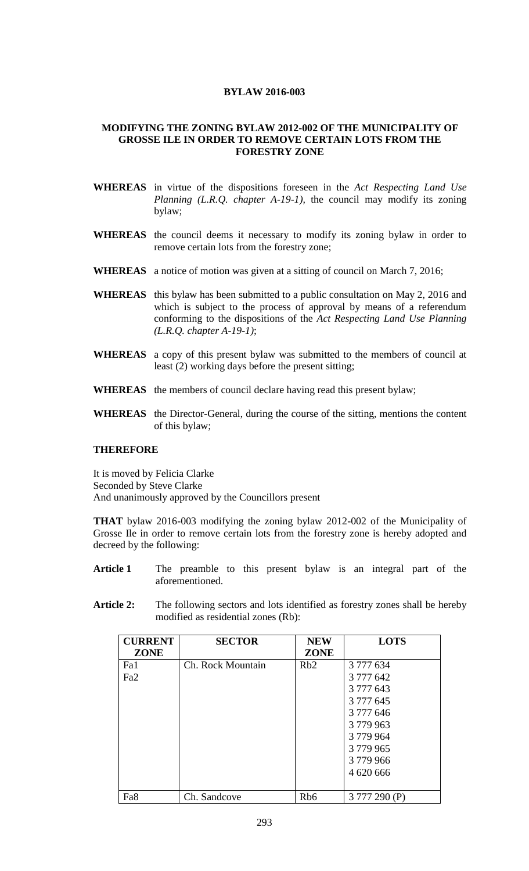## **BYLAW 2016-003**

## **MODIFYING THE ZONING BYLAW 2012-002 OF THE MUNICIPALITY OF GROSSE ILE IN ORDER TO REMOVE CERTAIN LOTS FROM THE FORESTRY ZONE**

- **WHEREAS** in virtue of the dispositions foreseen in the *Act Respecting Land Use Planning (L.R.Q. chapter A-19-1),* the council may modify its zoning bylaw;
- **WHEREAS** the council deems it necessary to modify its zoning bylaw in order to remove certain lots from the forestry zone;
- **WHEREAS** a notice of motion was given at a sitting of council on March 7, 2016;
- **WHEREAS** this bylaw has been submitted to a public consultation on May 2, 2016 and which is subject to the process of approval by means of a referendum conforming to the dispositions of the *Act Respecting Land Use Planning (L.R.Q. chapter A-19-1)*;
- **WHEREAS** a copy of this present bylaw was submitted to the members of council at least (2) working days before the present sitting;
- **WHEREAS** the members of council declare having read this present bylaw;
- **WHEREAS** the Director-General, during the course of the sitting, mentions the content of this bylaw;

## **THEREFORE**

It is moved by Felicia Clarke Seconded by Steve Clarke And unanimously approved by the Councillors present

**THAT** bylaw 2016-003 modifying the zoning bylaw 2012-002 of the Municipality of Grosse Ile in order to remove certain lots from the forestry zone is hereby adopted and decreed by the following:

- **Article 1** The preamble to this present bylaw is an integral part of the aforementioned.
- **Article 2:** The following sectors and lots identified as forestry zones shall be hereby modified as residential zones (Rb):

| <b>CURRENT</b>  | <b>SECTOR</b>     | <b>NEW</b>      | <b>LOTS</b>  |
|-----------------|-------------------|-----------------|--------------|
| <b>ZONE</b>     |                   | <b>ZONE</b>     |              |
| Fa1             | Ch. Rock Mountain | Rb2             | 3 777 634    |
| Fa <sub>2</sub> |                   |                 | 3 777 642    |
|                 |                   |                 | 3 777 643    |
|                 |                   |                 | 3 777 645    |
|                 |                   |                 | 3 777 646    |
|                 |                   |                 | 3779963      |
|                 |                   |                 | 3779964      |
|                 |                   |                 | 3 779 965    |
|                 |                   |                 | 3779966      |
|                 |                   |                 | 4 620 666    |
|                 |                   |                 |              |
| Fa8             | Ch. Sandcove      | Rb <sub>6</sub> | 3777 290 (P) |